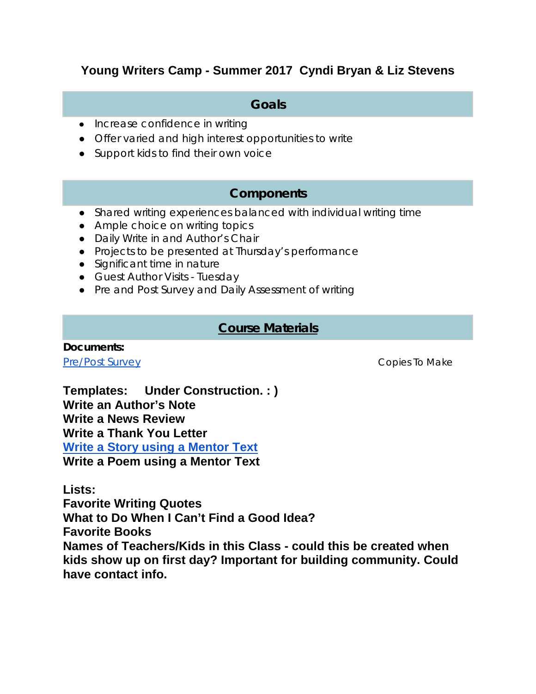## **Young Writers Camp - Summer 2017 Cyndi Bryan & Liz Stevens**

### **Goals**

- Increase confidence in writing
- Offer varied and high interest opportunities to write
- Support kids to find their own voice

### **Components**

- Shared writing experiences balanced with individual writing time
- Ample choice on writing topics
- Daily Write in and Author's Chair
- Projects to be presented at Thursday's performance
- Significant time in nature
- Guest Author Visits Tuesday
- Pre and Post Survey and Daily Assessment of writing

### **[Course Materials](https://docs.google.com/document/d/1KlZJOQeH-4ucA03cnqtgwhUyaf6m9UG1TY-2msLzoqw/edit)**

### **Documents:** [Pre/Post Survey](https://docs.google.com/document/d/1ezWzJluVM0x6Dji2NDWIDuL0-lD9WA3noA_Y-QrzZew/edit) **Copies To Make**

**Templates: Under Construction. : ) Write an Author's Note Write a News Review Write a Thank You Letter [Write a Story using a Mentor Text](https://docs.google.com/document/d/1Qg7js0Uab1ncAJa7_e2gvpwvu7bNGeuDFmRplyucuLA/edit) Write a Poem using a Mentor Text**

**Lists: Favorite Writing Quotes What to Do When I Can't Find a Good Idea? Favorite Books Names of Teachers/Kids in this Class - could this be created when kids show up on first day? Important for building community. Could have contact info.**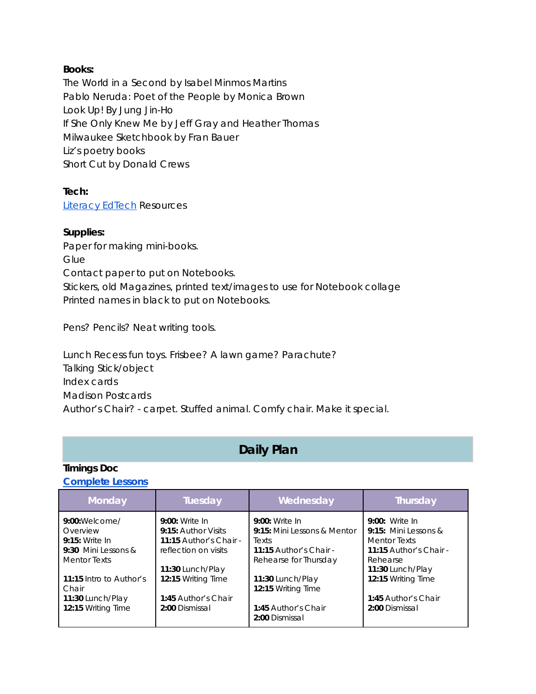#### **Books:**

The World in a Second by Isabel Minmos Martins Pablo Neruda: Poet of the People by Monica Brown Look Up! By Jung Jin-Ho If She Only Knew Me by Jeff Gray and Heather Thomas Milwaukee Sketchbook by Fran Bauer Liz's poetry books Short Cut by Donald Crews

**Tech:** [Literacy EdTech](https://docs.google.com/document/d/1XGG4Cz5o40RoLWLqN-g_nNOiUb0hj-GXUViDAyqHX1M/edit) Resources

#### **Supplies:**

Paper for making mini-books. **Glue** Contact paper to put on Notebooks. Stickers, old Magazines, printed text/images to use for Notebook collage Printed names in black to put on Notebooks.

Pens? Pencils? Neat writing tools.

Lunch Recess fun toys. Frisbee? A lawn game? Parachute? Talking Stick/object Index cards Madison Postcards Author's Chair? - carpet. Stuffed animal. Comfy chair. Make it special.

## **Daily Plan**

#### **Timings Doc**

#### **[Complete Lessons](https://docs.google.com/document/d/1c9RonmDyUksqT4D-OrHrs5KGBvoLttg2Wh8sbUOIBXk/edit)**

| <b>Monday</b>           | Tuesday                | Wednesday                             | Thursday               |
|-------------------------|------------------------|---------------------------------------|------------------------|
| $9:00:$ Welcome/        | 9:00: Write In         | 9:00: Write In                        | 9:00: Write In         |
| Overview                | 9:15: Author Visits    | 9:15: Mini Lessons & Mentor           | 9:15: Mini Lessons &   |
| 9:15: Write In          | 11:15 Author's Chair - | Texts                                 | Mentor Texts           |
| 9:30 Mini Lessons &     | reflection on visits   | 11:15 Author's Chair -                | 11:15 Author's Chair - |
| Mentor Texts            |                        | Rehearse for Thursday                 | Rehearse               |
|                         | 11:30 Lunch/Play       |                                       | 11:30 Lunch/Play       |
| 11:15 Intro to Author's | 12:15 Writing Time     | 11:30 Lunch/Play                      | 12:15 Writing Time     |
| Chair                   |                        | 12:15 Writing Time                    |                        |
| 11:30 Lunch/Play        | 1:45 Author's Chair    |                                       | 1:45 Author's Chair    |
| 12:15 Writing Time      | 2:00 Dismissal         | 1:45 Author's Chair<br>2:00 Dismissal | 2:00 Dismissal         |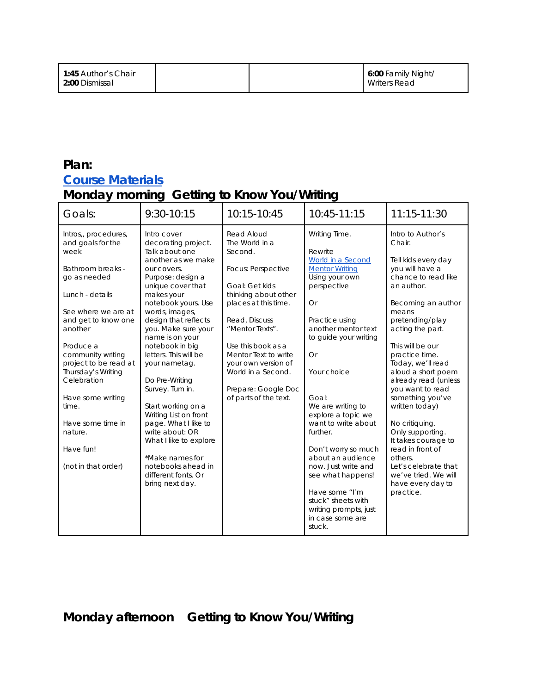## **Plan: [Course Materials](https://docs.google.com/document/d/1KlZJOQeH-4ucA03cnqtgwhUyaf6m9UG1TY-2msLzoqw/edit) Monday morning Getting to Know You/Writing**

| Goals:                                                                                                                                                                                                                                                                                                                                                              | 9:30-10:15                                                                                                                                                                                                                                                                                                                                                                                                                                                                                                                                                             | 10:15-10:45                                                                                                                                                                                                                                                                                                    | 10:45-11:15                                                                                                                                                                                                                                                                                                                                                                                                                                                                                      | 11:15-11:30                                                                                                                                                                                                                                                                                                                                                                                                                                                                                                                       |
|---------------------------------------------------------------------------------------------------------------------------------------------------------------------------------------------------------------------------------------------------------------------------------------------------------------------------------------------------------------------|------------------------------------------------------------------------------------------------------------------------------------------------------------------------------------------------------------------------------------------------------------------------------------------------------------------------------------------------------------------------------------------------------------------------------------------------------------------------------------------------------------------------------------------------------------------------|----------------------------------------------------------------------------------------------------------------------------------------------------------------------------------------------------------------------------------------------------------------------------------------------------------------|--------------------------------------------------------------------------------------------------------------------------------------------------------------------------------------------------------------------------------------------------------------------------------------------------------------------------------------------------------------------------------------------------------------------------------------------------------------------------------------------------|-----------------------------------------------------------------------------------------------------------------------------------------------------------------------------------------------------------------------------------------------------------------------------------------------------------------------------------------------------------------------------------------------------------------------------------------------------------------------------------------------------------------------------------|
| Intros, procedures,<br>and goals for the<br>week<br>Bathroom breaks -<br>go as needed<br>Lunch - details<br>See where we are at<br>and get to know one<br>another<br>Produce a<br>community writing<br>project to be read at<br>Thursday's Writing<br>Celebration<br>Have some writing<br>time.<br>Have some time in<br>nature.<br>Have fun!<br>(not in that order) | Intro cover<br>decorating project.<br>Talk about one<br>another as we make<br>our covers.<br>Purpose: design a<br>unique cover that<br>makes your<br>notebook yours. Use<br>words, images,<br>design that reflects<br>you. Make sure your<br>name is on your<br>notebook in big<br>letters. This will be<br>your nametag.<br>Do Pre-Writing<br>Survey. Turn in.<br>Start working on a<br>Writing List on front<br>page. What I like to<br>write about: OR<br>What I like to explore<br>*Make names for<br>notebooks ahead in<br>different fonts. Or<br>bring next day. | Read Aloud<br>The World in a<br>Second.<br>Focus: Perspective<br>Goal: Get kids<br>thinking about other<br>places at this time.<br>Read, Discuss<br>"Mentor Texts".<br>Use this book as a<br>Mentor Text to write<br>your own version of<br>World in a Second.<br>Prepare: Google Doc<br>of parts of the text. | Writing Time.<br>Rewrite<br>World in a Second<br><b>Mentor Writing</b><br>Using your own<br>perspective<br><b>Or</b><br>Practice using<br>another mentor text<br>to guide your writing<br><b>Or</b><br>Your choice<br>Goal:<br>We are writing to<br>explore a topic we<br>want to write about<br>further.<br>Don't worry so much<br>about an audience<br>now. Just write and<br>see what happens!<br>Have some "I'm<br>stuck" sheets with<br>writing prompts, just<br>in case some are<br>stuck. | Intro to Author's<br>Chair.<br>Tell kids every day<br>you will have a<br>chance to read like<br>an author.<br>Becoming an author<br>means<br>pretending/play<br>acting the part.<br>This will be our<br>practice time.<br>Today, we'll read<br>aloud a short poem<br>already read (unless<br>you want to read<br>something you've<br>written today)<br>No critiquing.<br>Only supporting.<br>It takes courage to<br>read in front of<br>others.<br>Let's celebrate that<br>we've tried. We will<br>have every day to<br>practice. |

**Monday afternoon Getting to Know You/Writing**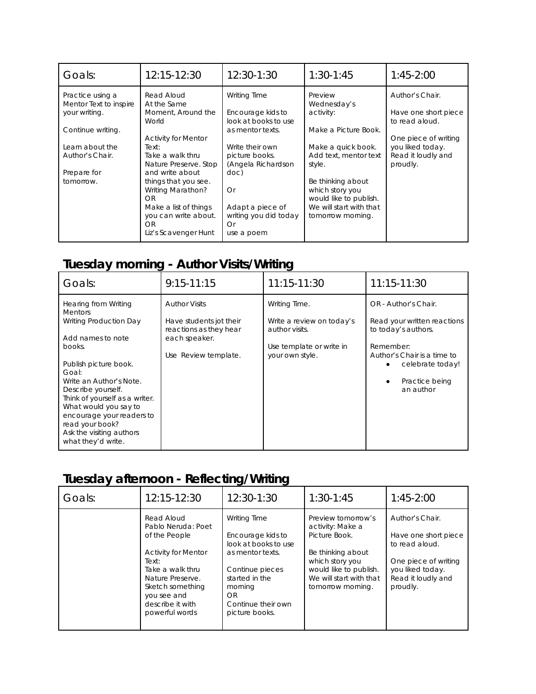| Goals:                                                                                                                                             | 12:15-12:30                                                                                                                                                                                                                                                                                         | $12:30-1:30$                                                                                                                                                                                                                   | $1:30-1:45$                                                                                                                                                                                                                            | $1:45-2:00$                                                                                                                             |
|----------------------------------------------------------------------------------------------------------------------------------------------------|-----------------------------------------------------------------------------------------------------------------------------------------------------------------------------------------------------------------------------------------------------------------------------------------------------|--------------------------------------------------------------------------------------------------------------------------------------------------------------------------------------------------------------------------------|----------------------------------------------------------------------------------------------------------------------------------------------------------------------------------------------------------------------------------------|-----------------------------------------------------------------------------------------------------------------------------------------|
| Practice using a<br>Mentor Text to inspire<br>your writing.<br>Continue writing.<br>Learn about the<br>Author's Chair.<br>Prepare for<br>tomorrow. | Read Aloud<br>At the Same<br>Moment, Around the<br>World<br><b>Activity for Mentor</b><br>Text:<br>Take a walk thru<br>Nature Preserve. Stop<br>and write about<br>things that you see.<br>Writing Marathon?<br>OR.<br>Make a list of things<br>you can write about.<br>OR.<br>Liz's Scavenger Hunt | <b>Writing Time</b><br>Encourage kids to<br>look at books to use<br>as mentor texts.<br>Write their own<br>picture books.<br>(Angela Richardson<br>doc)<br>Or<br>Adapt a piece of<br>writing you did today<br>Or<br>use a poem | Preview<br>Wednesday's<br>activity:<br>Make a Picture Book.<br>Make a quick book.<br>Add text, mentor text<br>style.<br>Be thinking about<br>which story you<br>would like to publish.<br>We will start with that<br>tomorrow morning. | Author's Chair.<br>Have one short piece<br>to read aloud.<br>One piece of writing<br>you liked today.<br>Read it loudly and<br>proudly. |

## **Tuesday morning - Author Visits/Writing**

| Goals:                                                                                                                                                                                                                                                                                                                                                        | $9:15-11:15$                                                                                                       | 11:15-11:30                                                                                                 | 11:15-11:30                                                                                                                                                               |
|---------------------------------------------------------------------------------------------------------------------------------------------------------------------------------------------------------------------------------------------------------------------------------------------------------------------------------------------------------------|--------------------------------------------------------------------------------------------------------------------|-------------------------------------------------------------------------------------------------------------|---------------------------------------------------------------------------------------------------------------------------------------------------------------------------|
| <b>Hearing from Writing</b><br><b>Mentors</b><br><b>Writing Production Day</b><br>Add names to note<br>books.<br>Publish picture book.<br>Goal:<br>Write an Author's Note.<br>Describe yourself.<br>Think of yourself as a writer.<br>What would you say to<br>encourage your readers to<br>read your book?<br>Ask the visiting authors<br>what they'd write. | <b>Author Visits</b><br>Have students jot their<br>reactions as they hear<br>each speaker.<br>Use Review template. | Writing Time.<br>Write a review on today's<br>author visits.<br>Use template or write in<br>your own style. | OR - Author's Chair.<br>Read your written reactions<br>to today's authors.<br>Remember:<br>Author's Chair is a time to<br>celebrate today!<br>Practice being<br>an author |

## **Tuesday afternoon - Reflecting/Writing**

| Goals: | 12:15-12:30                                                                                                                                                                                               | $12:30-1:30$                                                                                                                                                                       | $1:30-1:45$                                                                                                                                                               | $1:45-2:00$                                                                                                                             |
|--------|-----------------------------------------------------------------------------------------------------------------------------------------------------------------------------------------------------------|------------------------------------------------------------------------------------------------------------------------------------------------------------------------------------|---------------------------------------------------------------------------------------------------------------------------------------------------------------------------|-----------------------------------------------------------------------------------------------------------------------------------------|
|        | Read Aloud<br>Pablo Neruda: Poet<br>of the People<br><b>Activity for Mentor</b><br>Text:<br>Take a walk thru<br>Nature Preserve.<br>Sketch something<br>you see and<br>describe it with<br>powerful words | <b>Writing Time</b><br>Encourage kids to<br>look at books to use<br>as mentor texts.<br>Continue pieces<br>started in the<br>morning<br>OR<br>Continue their own<br>picture books. | Preview tomorrow's<br>activity: Make a<br>Picture Book.<br>Be thinking about<br>which story you<br>would like to publish.<br>We will start with that<br>tomorrow morning. | Author's Chair.<br>Have one short piece<br>to read aloud.<br>One piece of writing<br>you liked today.<br>Read it loudly and<br>proudly. |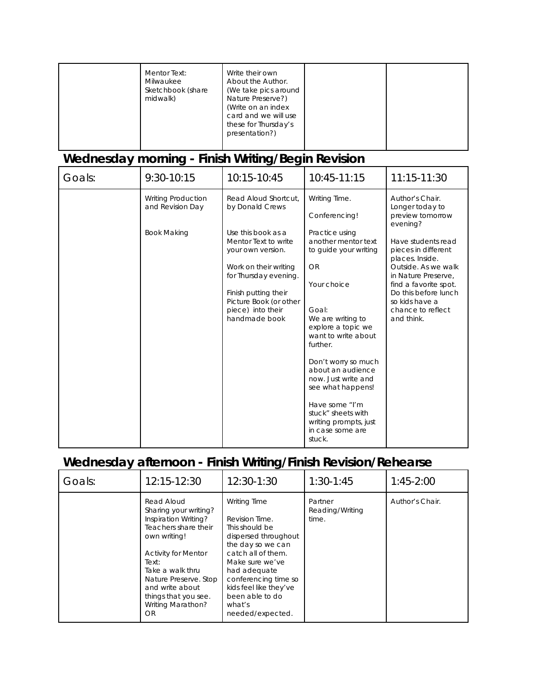| Mentor Text:<br>Milwaukee<br>Sketchbook (share<br>midwalk) | Write their own<br>About the Author.<br>(We take pics around<br>Nature Preserve?)<br>(Write on an index<br>card and we will use<br>these for Thursday's<br>presentation?) |  |  |
|------------------------------------------------------------|---------------------------------------------------------------------------------------------------------------------------------------------------------------------------|--|--|
|------------------------------------------------------------|---------------------------------------------------------------------------------------------------------------------------------------------------------------------------|--|--|

# **Wednesday morning - Finish Writing/Begin Revision**

| Goals: | 9:30-10:15                                                          | 10:15-10:45                                                                                                                                                                                                                                          | 10:45-11:15                                                                                                                                                                                                                                                                                                 | 11:15-11:30                                                                                                                                                                                                                                                                            |
|--------|---------------------------------------------------------------------|------------------------------------------------------------------------------------------------------------------------------------------------------------------------------------------------------------------------------------------------------|-------------------------------------------------------------------------------------------------------------------------------------------------------------------------------------------------------------------------------------------------------------------------------------------------------------|----------------------------------------------------------------------------------------------------------------------------------------------------------------------------------------------------------------------------------------------------------------------------------------|
|        | <b>Writing Production</b><br>and Revision Day<br><b>Book Making</b> | Read Aloud Shortcut.<br>by Donald Crews<br>Use this book as a<br>Mentor Text to write<br>your own version.<br>Work on their writing<br>for Thursday evening.<br>Finish putting their<br>Picture Book (or other<br>piece) into their<br>handmade book | Writing Time.<br>Conferencing!<br>Practice using<br>another mentor text<br>to quide your writing<br><b>OR</b><br>Your choice<br>Goal:<br>We are writing to<br>explore a topic we<br>want to write about<br>further.<br>Don't worry so much<br>about an audience<br>now. Just write and<br>see what happens! | Author's Chair.<br>Longer today to<br>preview tomorrow<br>evening?<br>Have students read<br>pieces in different<br>places. Inside.<br>Outside. As we walk<br>in Nature Preserve,<br>find a favorite spot.<br>Do this before lunch<br>so kids have a<br>chance to reflect<br>and think. |
|        |                                                                     |                                                                                                                                                                                                                                                      | Have some "I'm<br>stuck" sheets with<br>writing prompts, just<br>in case some are<br>stuck.                                                                                                                                                                                                                 |                                                                                                                                                                                                                                                                                        |

# **Wednesday afternoon - Finish Writing/Finish Revision/Rehearse**

| Goals: | 12:15-12:30                                                                                                                                                                                                                                                          | 12:30-1:30                                                                                                                                                                                                                                                       | $1:30-1:45$                         | $1:45-2:00$     |
|--------|----------------------------------------------------------------------------------------------------------------------------------------------------------------------------------------------------------------------------------------------------------------------|------------------------------------------------------------------------------------------------------------------------------------------------------------------------------------------------------------------------------------------------------------------|-------------------------------------|-----------------|
|        | Read Aloud<br>Sharing your writing?<br>Inspiration Writing?<br>Teachers share their<br>own writing!<br><b>Activity for Mentor</b><br>Text:<br>Take a walk thru<br>Nature Preserve. Stop<br>and write about<br>things that you see.<br>Writing Marathon?<br><b>OR</b> | <b>Writing Time</b><br>Revision Time.<br>This should be<br>dispersed throughout<br>the day so we can<br>catch all of them.<br>Make sure we've<br>had adequate<br>conferencing time so<br>kids feel like they've<br>been able to do<br>what's<br>needed/expected. | Partner<br>Reading/Writing<br>time. | Author's Chair. |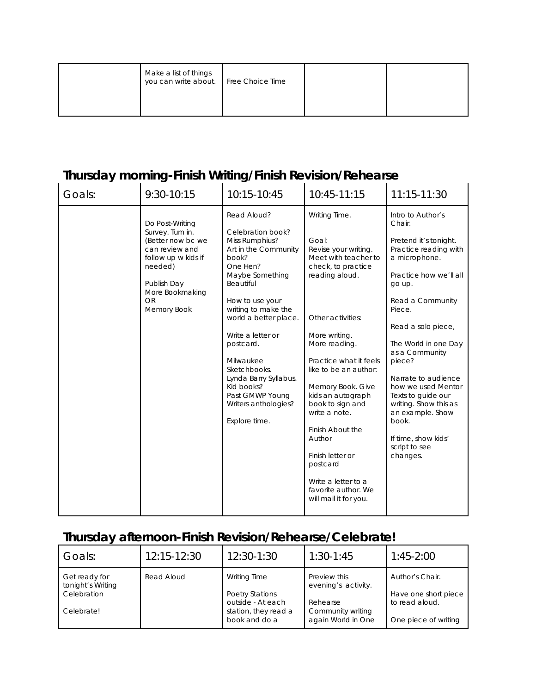|  |  | Make a list of things<br>you can write about. Free Choice Time |  |  |  |
|--|--|----------------------------------------------------------------|--|--|--|
|--|--|----------------------------------------------------------------|--|--|--|

## **Thursday morning-Finish Writing/Finish Revision/Rehearse**

| Goals: | 9:30-10:15                                                                                                                                                                 | 10:15-10:45                                                                                                                                                                                                                                                                                                                                                          | 10:45-11:15                                                                                                                                                                                                                                                                                                                                                                                                                                  | 11:15-11:30                                                                                                                                                                                                                                                                                                                                                                                                             |
|--------|----------------------------------------------------------------------------------------------------------------------------------------------------------------------------|----------------------------------------------------------------------------------------------------------------------------------------------------------------------------------------------------------------------------------------------------------------------------------------------------------------------------------------------------------------------|----------------------------------------------------------------------------------------------------------------------------------------------------------------------------------------------------------------------------------------------------------------------------------------------------------------------------------------------------------------------------------------------------------------------------------------------|-------------------------------------------------------------------------------------------------------------------------------------------------------------------------------------------------------------------------------------------------------------------------------------------------------------------------------------------------------------------------------------------------------------------------|
|        | Do Post-Writing<br>Survey. Turn in.<br>(Better now bc we<br>can review and<br>follow up w kids if<br>needed)<br>Publish Day<br>More Bookmaking<br><b>OR</b><br>Memory Book | Read Aloud?<br>Celebration book?<br>Miss Rumphius?<br>Art in the Community<br>book?<br>One Hen?<br>Maybe Something<br>Beautiful<br>How to use your<br>writing to make the<br>world a better place.<br>Write a letter or<br>postcard.<br>Milwaukee<br>Sketchbooks.<br>Lynda Barry Syllabus.<br>Kid books?<br>Past GMWP Young<br>Writers anthologies?<br>Explore time. | Writing Time.<br>Goal:<br>Revise your writing.<br>Meet with teacher to<br>check, to practice<br>reading aloud.<br>Other activities:<br>More writing.<br>More reading.<br>Practice what it feels<br>like to be an author:<br>Memory Book. Give<br>kids an autograph<br>book to sign and<br>write a note.<br>Finish About the<br>Author<br>Finish letter or<br>postcard<br>Write a letter to a<br>favorite author. We<br>will mail it for you. | Intro to Author's<br>Chair.<br>Pretend it's tonight.<br>Practice reading with<br>a microphone.<br>Practice how we'll all<br>go up.<br>Read a Community<br>Piece.<br>Read a solo piece,<br>The World in one Day<br>as a Community<br>piece?<br>Narrate to audience<br>how we used Mentor<br>Texts to guide our<br>writing. Show this as<br>an example. Show<br>book.<br>If time, show kids'<br>script to see<br>changes. |

## **Thursday afternoon-Finish Revision/Rehearse/Celebrate!**

| Goals:                             | 12:15-12:30 | $12:30 - 1:30$                              | $1:30-1:45$                             | $1:45-2:00$                            |
|------------------------------------|-------------|---------------------------------------------|-----------------------------------------|----------------------------------------|
| Get ready for<br>tonight's Writing | Read Aloud  | <b>Writing Time</b>                         | Preview this<br>evening's activity.     | Author's Chair.                        |
| Celebration                        |             | <b>Poetry Stations</b><br>outside - At each | Rehearse                                | Have one short piece<br>to read aloud. |
| Celebrate!                         |             | station, they read a<br>book and do a       | Community writing<br>again World in One | One piece of writing                   |